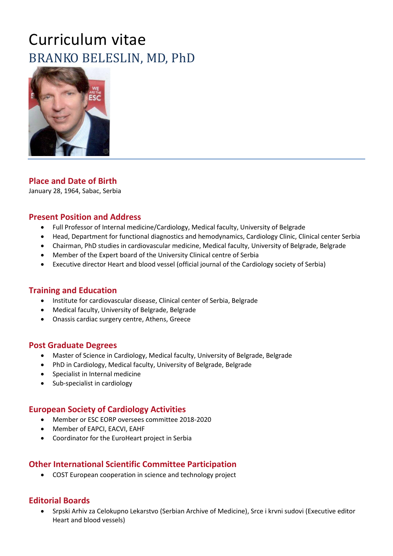# Curriculum vitae BRANKO BELESLIN, MD, PhD



**Place and Date of Birth**

January 28, 1964, Sabac, Serbia

## **Present Position and Address**

- Full Professor of Internal medicine/Cardiology, Medical faculty, University of Belgrade
- Head, Department for functional diagnostics and hemodynamics, Cardiology Clinic, Clinical center Serbia
- Chairman, PhD studies in cardiovascular medicine, Medical faculty, University of Belgrade, Belgrade
- Member of the Expert board of the University Clinical centre of Serbia
- Executive director Heart and blood vessel (official journal of the Cardiology society of Serbia)

#### **Training and Education**

- Institute for cardiovascular disease, Clinical center of Serbia, Belgrade
- Medical faculty, University of Belgrade, Belgrade
- Onassis cardiac surgery centre, Athens, Greece

#### **Post Graduate Degrees**

- Master of Science in Cardiology, Medical faculty, University of Belgrade, Belgrade
- PhD in Cardiology, Medical faculty, University of Belgrade, Belgrade
- Specialist in Internal medicine
- Sub-specialist in cardiology

### **European Society of Cardiology Activities**

- Member or ESC EORP oversees committee 2018-2020
- Member of EAPCI, EACVI, EAHF
- Coordinator for the EuroHeart project in Serbia

### **Other International Scientific Committee Participation**

• COST European cooperation in science and technology project

### **Editorial Boards**

• Srpski Arhiv za Celokupno Lekarstvo (Serbian Archive of Medicine), Srce i krvni sudovi (Executive editor Heart and blood vessels)